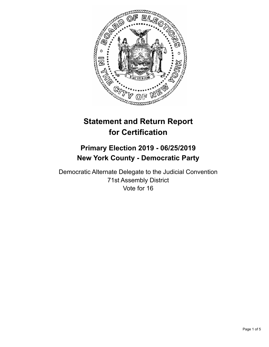

# **Statement and Return Report for Certification**

## **Primary Election 2019 - 06/25/2019 New York County - Democratic Party**

Democratic Alternate Delegate to the Judicial Convention 71st Assembly District Vote for 16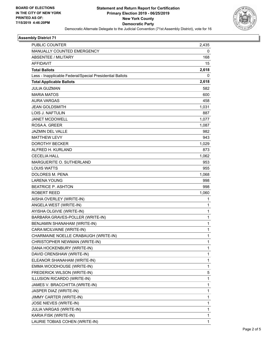

#### **Assembly District 71**

| PUBLIC COUNTER                                           | 2,435 |
|----------------------------------------------------------|-------|
| <b>MANUALLY COUNTED EMERGENCY</b>                        | 0     |
| ABSENTEE / MILITARY                                      | 168   |
| <b>AFFIDAVIT</b>                                         | 15    |
| <b>Total Ballots</b>                                     | 2,618 |
| Less - Inapplicable Federal/Special Presidential Ballots | 0     |
| <b>Total Applicable Ballots</b>                          | 2,618 |
| <b>JULIA GUZMAN</b>                                      | 582   |
| <b>MARIA MATOS</b>                                       | 600   |
| <b>AURA VARGAS</b>                                       | 458   |
| JEAN GOLDSMITH                                           | 1,031 |
| <b>LOIS J. NAFTULIN</b>                                  | 887   |
| JANET MCDOWELL                                           | 1,077 |
| ROSA A. GREER                                            | 1,087 |
| <b>JAZMIN DEL VALLE</b>                                  | 982   |
| <b>MATTHEW LEVY</b>                                      | 943   |
| DOROTHY BECKER                                           | 1,029 |
| ALFRED H. KURLAND                                        | 873   |
| <b>CECELIA HALL</b>                                      | 1,062 |
| MARGUERITE O. SUTHERLAND                                 | 953   |
| <b>LOUIS WATTS</b>                                       | 955   |
| DOLORES M. PENA                                          | 1,068 |
| <b>LARENA YOUNG</b>                                      | 998   |
| <b>BEATRICE P. ASHTON</b>                                | 998   |
| ROBERT REED                                              | 1,060 |
| AISHA OVERLEY (WRITE-IN)                                 | 1     |
| ANGELA WEST (WRITE-IN)                                   | 1     |
| AYISHA OLGIVIE (WRITE-IN)                                | 1     |
| BARBARA GRAVES-POLLER (WRITE-IN)                         | 1     |
| BENJAMIN SHANAHAM (WRITE-IN)                             | 1     |
| CARA MCILVAINE (WRITE-IN)                                | 1     |
| CHARMAINE NOELLE CRABAUGH (WRITE-IN)                     | 1     |
| CHRISTOPHER NEWMAN (WRITE-IN)                            | 1     |
| DANA HOCKENBURY (WRITE-IN)                               | 1     |
| DAVID CRENSHAW (WRITE-IN)                                | 1     |
| ELEANOR SHANAHAM (WRITE-IN)                              | 1     |
| EMMA WOODHOUSE (WRITE-IN)                                | 1     |
| FREDERICK WILSON (WRITE-IN)                              | 5.    |
| ILLUSION RICARDO (WRITE-IN)                              | 1     |
| JAMES V. BRACCHITTA (WRITE-IN)                           | 1     |
| JASPER DIAZ (WRITE-IN)                                   | 1     |
| JIMMY CARTER (WRITE-IN)                                  | 1     |
| JOSE NIEVES (WRITE-IN)                                   | 1     |
| JULIA VARGAS (WRITE-IN)                                  | 1     |
| KARIA FISK (WRITE-IN)                                    | 1     |
| LAURIE TOBIAS COHEN (WRITE-IN)                           | 1     |
|                                                          |       |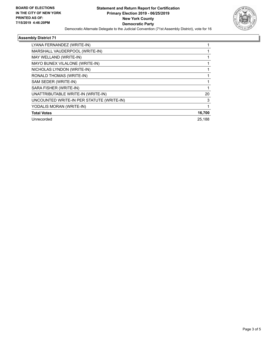

#### **Assembly District 71**

| LYANA FERNANDEZ (WRITE-IN)                |        |
|-------------------------------------------|--------|
| MARSHALL VAUDERPOOL (WRITE-IN)            |        |
| MAY WELLAND (WRITE-IN)                    |        |
| MAYO BUNEX VILALONE (WRITE-IN)            |        |
| NICHOLAS LYNDON (WRITE-IN)                |        |
| RONALD THOMAS (WRITE-IN)                  |        |
| SAM SEDER (WRITE-IN)                      |        |
| SARA FISHER (WRITE-IN)                    |        |
| UNATTRIBUTABLE WRITE-IN (WRITE-IN)        | 20     |
| UNCOUNTED WRITE-IN PER STATUTE (WRITE-IN) | 3      |
| YODALIS MORAN (WRITE-IN)                  |        |
| <b>Total Votes</b>                        | 16,700 |
| Unrecorded                                | 25.188 |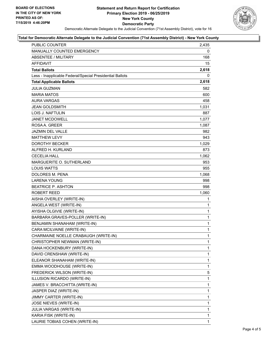

#### **Total for Democratic Alternate Delegate to the Judicial Convention (71st Assembly District) - New York County**

| PUBLIC COUNTER                                           | 2,435        |
|----------------------------------------------------------|--------------|
| MANUALLY COUNTED EMERGENCY                               | 0            |
| ABSENTEE / MILITARY                                      | 168          |
| AFFIDAVIT                                                | 15           |
| <b>Total Ballots</b>                                     | 2,618        |
| Less - Inapplicable Federal/Special Presidential Ballots | 0            |
| <b>Total Applicable Ballots</b>                          | 2,618        |
| <b>JULIA GUZMAN</b>                                      | 582          |
| <b>MARIA MATOS</b>                                       | 600          |
| <b>AURA VARGAS</b>                                       | 458          |
| <b>JEAN GOLDSMITH</b>                                    | 1,031        |
| LOIS J. NAFTULIN                                         | 887          |
| JANET MCDOWELL                                           | 1,077        |
| ROSA A. GREER                                            | 1,087        |
| JAZMIN DEL VALLE                                         | 982          |
| <b>MATTHEW LEVY</b>                                      | 943          |
| <b>DOROTHY BECKER</b>                                    | 1,029        |
| ALFRED H. KURLAND                                        | 873          |
| <b>CECELIA HALL</b>                                      | 1,062        |
| MARGUERITE O. SUTHERLAND                                 | 953          |
| <b>LOUIS WATTS</b>                                       | 955          |
| DOLORES M. PENA                                          | 1,068        |
| <b>LARENA YOUNG</b>                                      | 998          |
| <b>BEATRICE P. ASHTON</b>                                | 998          |
| <b>ROBERT REED</b>                                       | 1,060        |
| AISHA OVERLEY (WRITE-IN)                                 | 1            |
| ANGELA WEST (WRITE-IN)                                   | 1            |
| AYISHA OLGIVIE (WRITE-IN)                                | $\mathbf 1$  |
| BARBARA GRAVES-POLLER (WRITE-IN)                         | $\mathbf{1}$ |
| BENJAMIN SHANAHAM (WRITE-IN)                             | 1            |
| CARA MCILVAINE (WRITE-IN)                                | 1            |
| CHARMAINE NOELLE CRABAUGH (WRITE-IN)                     | $\mathbf{1}$ |
| CHRISTOPHER NEWMAN (WRITE-IN)                            | 1            |
| DANA HOCKENBURY (WRITE-IN)                               | 1            |
| DAVID CRENSHAW (WRITE-IN)                                | 1            |
| ELEANOR SHANAHAM (WRITE-IN)                              | 1            |
| EMMA WOODHOUSE (WRITE-IN)                                | 1            |
| FREDERICK WILSON (WRITE-IN)                              | 5            |
| ILLUSION RICARDO (WRITE-IN)                              | 1            |
| JAMES V. BRACCHITTA (WRITE-IN)                           | 1            |
| JASPER DIAZ (WRITE-IN)                                   | 1            |
| JIMMY CARTER (WRITE-IN)                                  | 1            |
| JOSE NIEVES (WRITE-IN)                                   | 1            |
| JULIA VARGAS (WRITE-IN)                                  | 1            |
| KARIA FISK (WRITE-IN)                                    | 1            |
| LAURIE TOBIAS COHEN (WRITE-IN)                           | 1            |